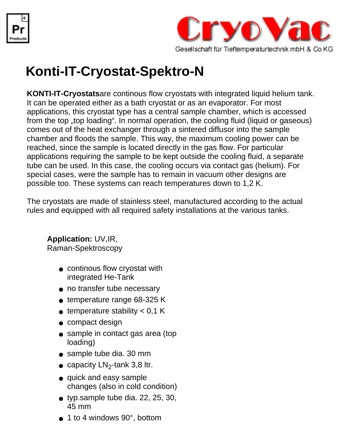



## **Konti-IT-Cryostat-Spektro-N**

**KONTI-IT-Cryostats**are continous flow cryostats with integrated liquid helium tank. It can be operated either as a bath cryostat or as an evaporator. For most applications, this cryostat type has a central sample chamber, which is accessed from the top "top loading". In normal operation, the cooling fluid (liquid or gaseous) comes out of the heat exchanger through a sintered diffusor into the sample chamber and floods the sample. This way, the maximum cooling power can be reached, since the sample is located directly in the gas flow. For particular applications requiring the sample to be kept outside the cooling fluid, a separate tube can be used. In this case, the cooling occurs via contact gas (helium). For special cases, were the sample has to remain in vacuum other designs are possible too. These systems can reach temperatures down to 1,2 K.

The cryostats are made of stainless steel, manufactured according to the actual rules and equipped with all required safety installations at the various tanks.

## **Application:** UV,IR,

Raman-Spektroscopy

- continous flow cryostat with integrated He-Tank
- no transfer tube necessary
- temperature range 68-325 K
- $\bullet$  temperature stability  $< 0.1$  K
- compact design
- sample in contact gas area (top loading)
- sample tube dia. 30 mm
- capacity  $LN_2$ -tank 3,8 ltr.
- quick and easy sample changes (also in cold condition)
- typ.sample tube dia. 22, 25, 30, 45 mm
- $\bullet$  1 to 4 windows 90 $^{\circ}$ , bottom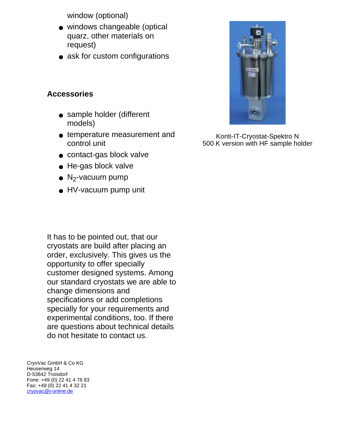window (optional)

- windows changeable (optical quarz, other materials on request)
- ask for custom configurations

## **Accessories**

- sample holder (different models)
- temperature measurement and control unit
- contact-gas block valve
- He-gas block valve
- $\bullet$  N<sub>2</sub>-vacuum pump
- HV-vacuum pump unit

It has to be pointed out, that our cryostats are build after placing an order, exclusively. This gives us the opportunity to offer specially customer designed systems. Among our standard cryostats we are able to change dimensions and specifications or add completions specially for your requirements and experimental conditions, too. If there are questions about technical details do not hesitate to contact us.

CryoVac GmbH & Co KG Heuserweg 14 D-53842 Troisdorf Fone: +49 (0) 22 41 4 76 83 Fax: +49 (0) 22 41 4 32 21 [cryovac@t-online.de](mailto:cryovac@t-online.de)



Konti-IT-Cryostat-Spektro N 500 K version with HF sample holder